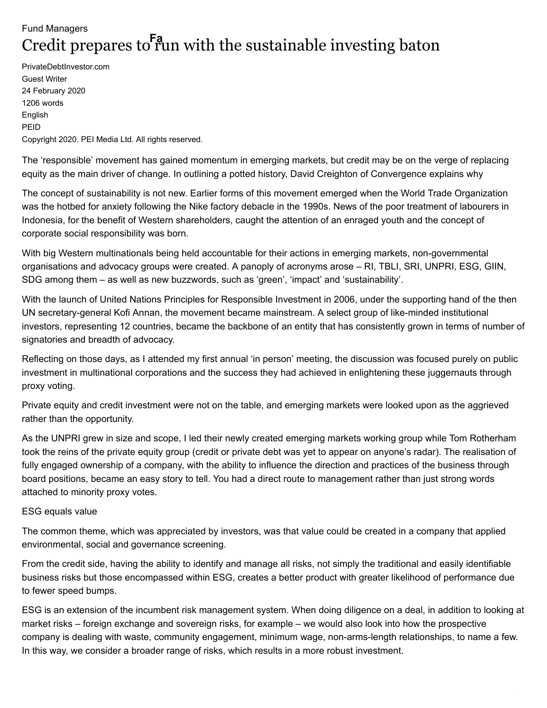## Fund Managers Credit prepares to run with the sustainable investing baton **Fa**

PrivateDebtInvestor.com Guest Writer 24 February 2020 1206 words English PEID Copyright 2020. PEI Media Ltd. All rights reserved.

The 'responsible' movement has gained momentum in emerging markets, but credit may be on the verge of replacing equity as the main driver of change. In outlining a potted history, David Creighton of Convergence explains why

The concept of sustainability is not new. Earlier forms of this movement emerged when the World Trade Organization was the hotbed for anxiety following the Nike factory debacle in the 1990s. News of the poor treatment of labourers in Indonesia, for the benefit of Western shareholders, caught the attention of an enraged youth and the concept of corporate social responsibility was born.

With big Western multinationals being held accountable for their actions in emerging markets, non-governmental organisations and advocacy groups were created. A panoply of acronyms arose – RI, TBLI, SRI, UNPRI, ESG, GIIN, SDG among them – as well as new buzzwords, such as 'green', 'impact' and 'sustainability'.

With the launch of United Nations Principles for Responsible Investment in 2006, under the supporting hand of the then UN secretary-general Kofi Annan, the movement became mainstream. A select group of like-minded institutional investors, representing 12 countries, became the backbone of an entity that has consistently grown in terms of number of signatories and breadth of advocacy.

Reflecting on those days, as I attended my first annual 'in person' meeting, the discussion was focused purely on public investment in multinational corporations and the success they had achieved in enlightening these juggernauts through proxy voting.

Private equity and credit investment were not on the table, and emerging markets were looked upon as the aggrieved rather than the opportunity.

As the UNPRI grew in size and scope, I led their newly created emerging markets working group while Tom Rotherham took the reins of the private equity group (credit or private debt was yet to appear on anyone's radar). The realisation of fully engaged ownership of a company, with the ability to influence the direction and practices of the business through board positions, became an easy story to tell. You had a direct route to management rather than just strong words attached to minority proxy votes.

## ESG equals value

The common theme, which was appreciated by investors, was that value could be created in a company that applied environmental, social and governance screening.

From the credit side, having the ability to identify and manage all risks, not simply the traditional and easily identifiable business risks but those encompassed within ESG, creates a better product with greater likelihood of performance due to fewer speed bumps.

ESG is an extension of the incumbent risk management system. When doing diligence on a deal, in addition to looking at market risks – foreign exchange and sovereign risks, for example – we would also look into how the prospective company is dealing with waste, community engagement, minimum wage, non-arms-length relationships, to name a few. In this way, we consider a broader range of risks, which results in a more robust investment.